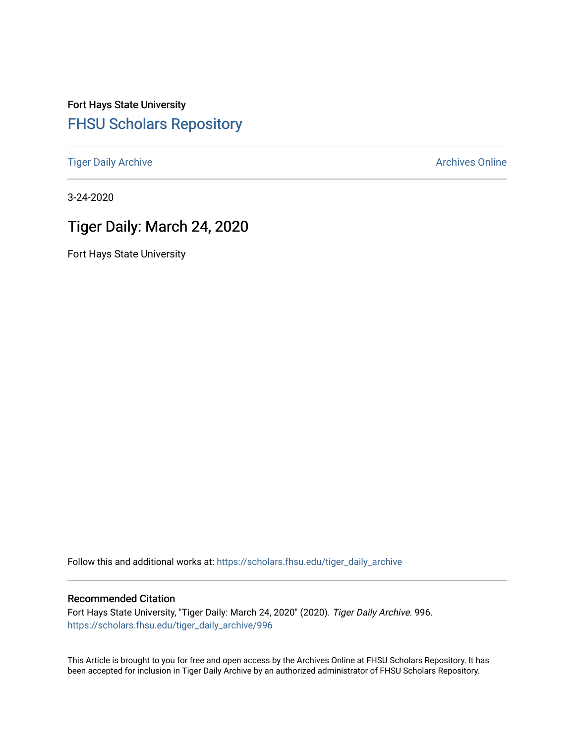Fort Hays State University [FHSU Scholars Repository](https://scholars.fhsu.edu/) 

[Tiger Daily Archive](https://scholars.fhsu.edu/tiger_daily_archive) **Archives** Online Archives Online

3-24-2020

# Tiger Daily: March 24, 2020

Fort Hays State University

Follow this and additional works at: [https://scholars.fhsu.edu/tiger\\_daily\\_archive](https://scholars.fhsu.edu/tiger_daily_archive?utm_source=scholars.fhsu.edu%2Ftiger_daily_archive%2F996&utm_medium=PDF&utm_campaign=PDFCoverPages)

## Recommended Citation

Fort Hays State University, "Tiger Daily: March 24, 2020" (2020). Tiger Daily Archive. 996. [https://scholars.fhsu.edu/tiger\\_daily\\_archive/996](https://scholars.fhsu.edu/tiger_daily_archive/996?utm_source=scholars.fhsu.edu%2Ftiger_daily_archive%2F996&utm_medium=PDF&utm_campaign=PDFCoverPages)

This Article is brought to you for free and open access by the Archives Online at FHSU Scholars Repository. It has been accepted for inclusion in Tiger Daily Archive by an authorized administrator of FHSU Scholars Repository.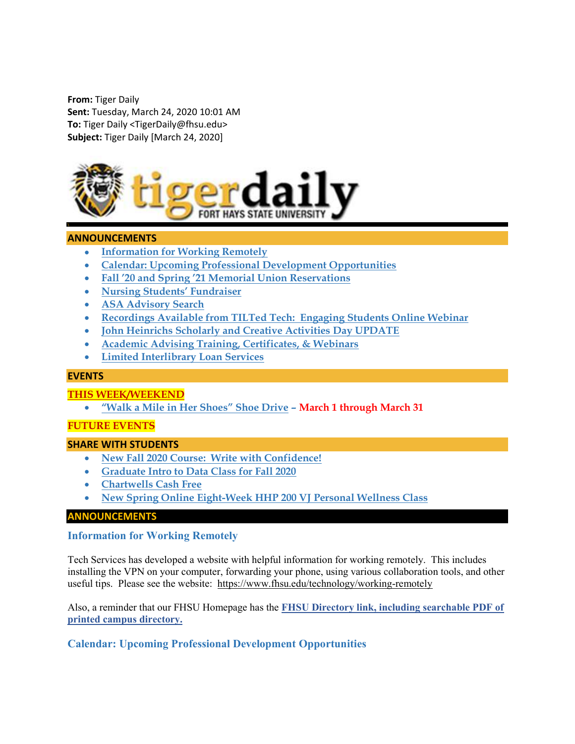From: Tiger Daily Sent: Tuesday, March 24, 2020 10:01 AM To: Tiger Daily <TigerDaily@fhsu.edu> Subject: Tiger Daily [March 24, 2020]



#### ANNOUNCEMENTS

- **•** Information for Working Remotely
- Calendar: Upcoming Professional Development Opportunities
- Fall '20 and Spring '21 Memorial Union Reservations
- Nursing Students' Fundraiser
- ASA Advisory Search
- Recordings Available from TILTed Tech: Engaging Students Online Webinar
- John Heinrichs Scholarly and Creative Activities Day UPDATE
- Academic Advising Training, Certificates, & Webinars
- Limited Interlibrary Loan Services

#### EVENTS

#### THIS WEEK/WEEKEND

"Walk a Mile in Her Shoes" Shoe Drive – March 1 through March 31

#### FUTURE EVENTS

#### SHARE WITH STUDENTS

- New Fall 2020 Course: Write with Confidence!
- Graduate Intro to Data Class for Fall 2020
- Chartwells Cash Free
- New Spring Online Eight-Week HHP 200 VJ Personal Wellness Class

#### ANNOUNCEMENTS

#### Information for Working Remotely

Tech Services has developed a website with helpful information for working remotely. This includes installing the VPN on your computer, forwarding your phone, using various collaboration tools, and other useful tips. Please see the website: https://www.fhsu.edu/technology/working-remotely

Also, a reminder that our FHSU Homepage has the FHSU Directory link, including searchable PDF of printed campus directory.

## Calendar: Upcoming Professional Development Opportunities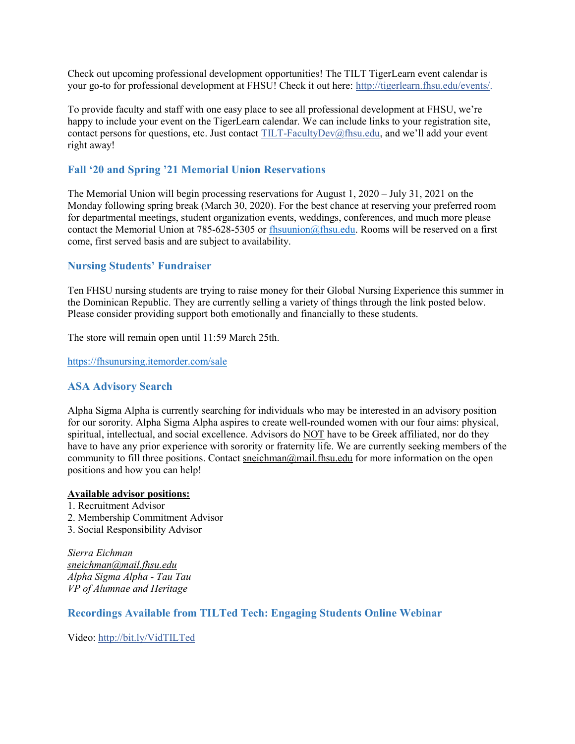Check out upcoming professional development opportunities! The TILT TigerLearn event calendar is your go-to for professional development at FHSU! Check it out here: http://tigerlearn.fhsu.edu/events/.

To provide faculty and staff with one easy place to see all professional development at FHSU, we're happy to include your event on the TigerLearn calendar. We can include links to your registration site, contact persons for questions, etc. Just contact TILT-FacultyDev@fhsu.edu, and we'll add your event right away!

## Fall '20 and Spring '21 Memorial Union Reservations

The Memorial Union will begin processing reservations for August 1, 2020 – July 31, 2021 on the Monday following spring break (March 30, 2020). For the best chance at reserving your preferred room for departmental meetings, student organization events, weddings, conferences, and much more please contact the Memorial Union at 785-628-5305 or fhsuunion@fhsu.edu. Rooms will be reserved on a first come, first served basis and are subject to availability.

## Nursing Students' Fundraiser

Ten FHSU nursing students are trying to raise money for their Global Nursing Experience this summer in the Dominican Republic. They are currently selling a variety of things through the link posted below. Please consider providing support both emotionally and financially to these students.

The store will remain open until 11:59 March 25th.

https://fhsunursing.itemorder.com/sale

#### ASA Advisory Search

Alpha Sigma Alpha is currently searching for individuals who may be interested in an advisory position for our sorority. Alpha Sigma Alpha aspires to create well-rounded women with our four aims: physical, spiritual, intellectual, and social excellence. Advisors do NOT have to be Greek affiliated, nor do they have to have any prior experience with sorority or fraternity life. We are currently seeking members of the community to fill three positions. Contact sneichman@mail.fhsu.edu for more information on the open positions and how you can help!

#### Available advisor positions:

1. Recruitment Advisor 2. Membership Commitment Advisor 3. Social Responsibility Advisor

Sierra Eichman sneichman@mail.fhsu.edu Alpha Sigma Alpha - Tau Tau VP of Alumnae and Heritage

#### Recordings Available from TILTed Tech: Engaging Students Online Webinar

Video: http://bit.ly/VidTILTed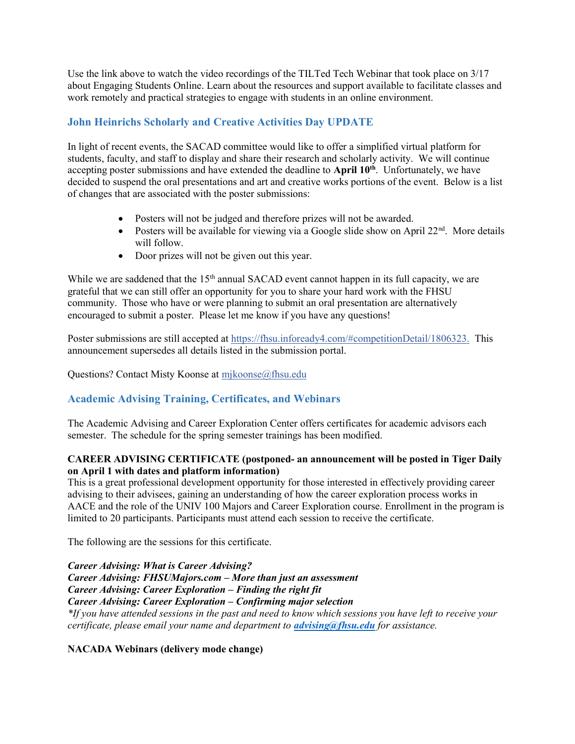Use the link above to watch the video recordings of the TILTed Tech Webinar that took place on 3/17 about Engaging Students Online. Learn about the resources and support available to facilitate classes and work remotely and practical strategies to engage with students in an online environment.

# John Heinrichs Scholarly and Creative Activities Day UPDATE

In light of recent events, the SACAD committee would like to offer a simplified virtual platform for students, faculty, and staff to display and share their research and scholarly activity. We will continue accepting poster submissions and have extended the deadline to April 10<sup>th</sup>. Unfortunately, we have decided to suspend the oral presentations and art and creative works portions of the event. Below is a list of changes that are associated with the poster submissions:

- Posters will not be judged and therefore prizes will not be awarded.
- Posters will be available for viewing via a Google slide show on April  $22<sup>nd</sup>$ . More details will follow.
- Door prizes will not be given out this year.

While we are saddened that the  $15<sup>th</sup>$  annual SACAD event cannot happen in its full capacity, we are grateful that we can still offer an opportunity for you to share your hard work with the FHSU community. Those who have or were planning to submit an oral presentation are alternatively encouraged to submit a poster. Please let me know if you have any questions!

Poster submissions are still accepted at https://fhsu.infoready4.com/#competitionDetail/1806323. This announcement supersedes all details listed in the submission portal.

Questions? Contact Misty Koonse at mjkoonse@fhsu.edu

## Academic Advising Training, Certificates, and Webinars

The Academic Advising and Career Exploration Center offers certificates for academic advisors each semester. The schedule for the spring semester trainings has been modified.

## CAREER ADVISING CERTIFICATE (postponed- an announcement will be posted in Tiger Daily on April 1 with dates and platform information)

This is a great professional development opportunity for those interested in effectively providing career advising to their advisees, gaining an understanding of how the career exploration process works in AACE and the role of the UNIV 100 Majors and Career Exploration course. Enrollment in the program is limited to 20 participants. Participants must attend each session to receive the certificate.

The following are the sessions for this certificate.

Career Advising: What is Career Advising? Career Advising: FHSUMajors.com – More than just an assessment Career Advising: Career Exploration – Finding the right fit Career Advising: Career Exploration – Confirming major selection \*If you have attended sessions in the past and need to know which sessions you have left to receive your certificate, please email your name and department to *advising@fhsu.edu for assistance*.

#### NACADA Webinars (delivery mode change)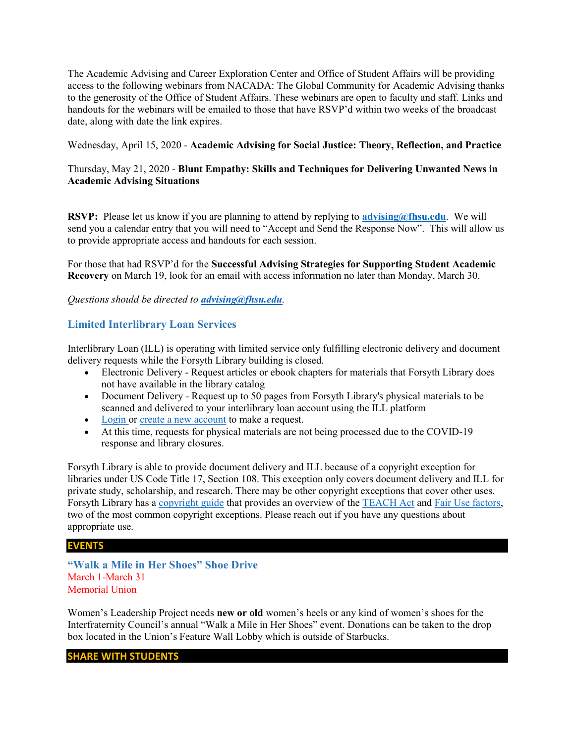The Academic Advising and Career Exploration Center and Office of Student Affairs will be providing access to the following webinars from NACADA: The Global Community for Academic Advising thanks to the generosity of the Office of Student Affairs. These webinars are open to faculty and staff. Links and handouts for the webinars will be emailed to those that have RSVP'd within two weeks of the broadcast date, along with date the link expires.

Wednesday, April 15, 2020 - Academic Advising for Social Justice: Theory, Reflection, and Practice

## Thursday, May 21, 2020 - Blunt Empathy: Skills and Techniques for Delivering Unwanted News in Academic Advising Situations

RSVP: Please let us know if you are planning to attend by replying to **advising@fhsu.edu**. We will send you a calendar entry that you will need to "Accept and Send the Response Now". This will allow us to provide appropriate access and handouts for each session.

For those that had RSVP'd for the Successful Advising Strategies for Supporting Student Academic Recovery on March 19, look for an email with access information no later than Monday, March 30.

Questions should be directed to *advising@fhsu.edu*.

## Limited Interlibrary Loan Services

Interlibrary Loan (ILL) is operating with limited service only fulfilling electronic delivery and document delivery requests while the Forsyth Library building is closed.

- Electronic Delivery Request articles or ebook chapters for materials that Forsyth Library does not have available in the library catalog
- Document Delivery Request up to 50 pages from Forsyth Library's physical materials to be scanned and delivered to your interlibrary loan account using the ILL platform
- Login or create a new account to make a request.
- At this time, requests for physical materials are not being processed due to the COVID-19 response and library closures.

Forsyth Library is able to provide document delivery and ILL because of a copyright exception for libraries under US Code Title 17, Section 108. This exception only covers document delivery and ILL for private study, scholarship, and research. There may be other copyright exceptions that cover other uses. Forsyth Library has a copyright guide that provides an overview of the TEACH Act and Fair Use factors, two of the most common copyright exceptions. Please reach out if you have any questions about appropriate use.

#### EVENTS

"Walk a Mile in Her Shoes" Shoe Drive March 1-March 31 Memorial Union

Women's Leadership Project needs new or old women's heels or any kind of women's shoes for the Interfraternity Council's annual "Walk a Mile in Her Shoes" event. Donations can be taken to the drop box located in the Union's Feature Wall Lobby which is outside of Starbucks.

#### SHARE WITH STUDENTS